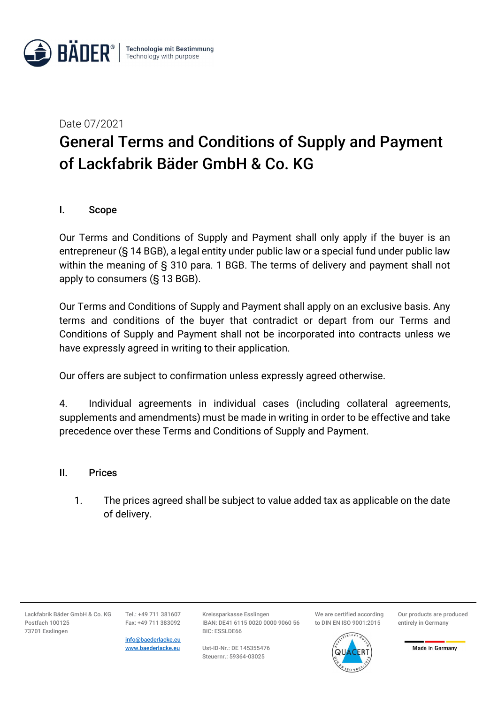

Date 07/2021

# General Terms and Conditions of Supply and Payment of Lackfabrik Bäder GmbH & Co. KG

# I. Scope

Our Terms and Conditions of Supply and Payment shall only apply if the buyer is an entrepreneur (§ 14 BGB), a legal entity under public law or a special fund under public law within the meaning of § 310 para. 1 BGB. The terms of delivery and payment shall not apply to consumers (§ 13 BGB).

Our Terms and Conditions of Supply and Payment shall apply on an exclusive basis. Any terms and conditions of the buyer that contradict or depart from our Terms and Conditions of Supply and Payment shall not be incorporated into contracts unless we have expressly agreed in writing to their application.

Our offers are subject to confirmation unless expressly agreed otherwise.

4. Individual agreements in individual cases (including collateral agreements, supplements and amendments) must be made in writing in order to be effective and take precedence over these Terms and Conditions of Supply and Payment.

#### II. Prices

1. The prices agreed shall be subject to value added tax as applicable on the date of delivery.

Lackfabrik Bäder GmbH & Co. KG Postfach 100125 73701 Esslingen

Tel.: +49 711 381607 Fax: +49 711 383092

info@baederlacke.eu www.baederlacke.eu

Kreissparkasse Esslingen IBAN: DE41 6115 0020 0000 9060 56 BIC: ESSLDE66

Ust-ID-Nr.: DE 145355476 Steuernr.: 59364-03025

We are certified according to DIN EN ISO 9001:2015



Our products are produced entirely in Germany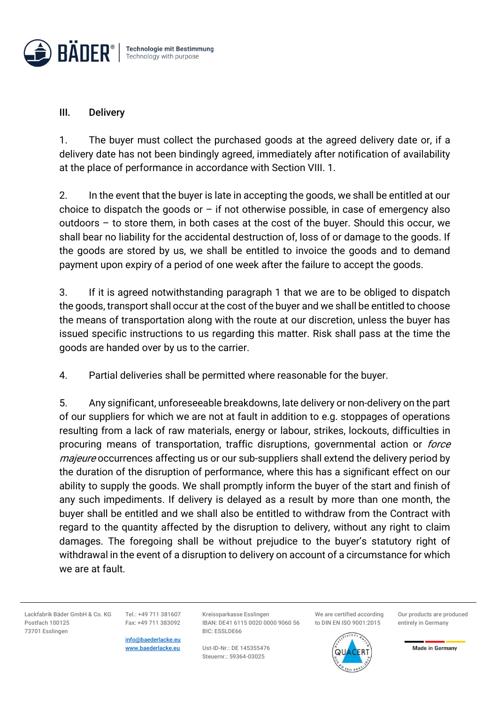

### III. Delivery

1. The buyer must collect the purchased goods at the agreed delivery date or, if a delivery date has not been bindingly agreed, immediately after notification of availability at the place of performance in accordance with Section VIII. 1.

2. In the event that the buyer is late in accepting the goods, we shall be entitled at our choice to dispatch the goods or  $-$  if not otherwise possible, in case of emergency also outdoors – to store them, in both cases at the cost of the buyer. Should this occur, we shall bear no liability for the accidental destruction of, loss of or damage to the goods. If the goods are stored by us, we shall be entitled to invoice the goods and to demand payment upon expiry of a period of one week after the failure to accept the goods.

3. If it is agreed notwithstanding paragraph 1 that we are to be obliged to dispatch the goods, transport shall occur at the cost of the buyer and we shall be entitled to choose the means of transportation along with the route at our discretion, unless the buyer has issued specific instructions to us regarding this matter. Risk shall pass at the time the goods are handed over by us to the carrier.

4. Partial deliveries shall be permitted where reasonable for the buyer.

5. Any significant, unforeseeable breakdowns, late delivery or non-delivery on the part of our suppliers for which we are not at fault in addition to e.g. stoppages of operations resulting from a lack of raw materials, energy or labour, strikes, lockouts, difficulties in procuring means of transportation, traffic disruptions, governmental action or *force* majeure occurrences affecting us or our sub-suppliers shall extend the delivery period by the duration of the disruption of performance, where this has a significant effect on our ability to supply the goods. We shall promptly inform the buyer of the start and finish of any such impediments. If delivery is delayed as a result by more than one month, the buyer shall be entitled and we shall also be entitled to withdraw from the Contract with regard to the quantity affected by the disruption to delivery, without any right to claim damages. The foregoing shall be without prejudice to the buyer's statutory right of withdrawal in the event of a disruption to delivery on account of a circumstance for which we are at fault.

Lackfabrik Bäder GmbH & Co. KG Postfach 100125 73701 Esslingen

Tel.: +49 711 381607 Fax: +49 711 383092

info@baederlacke.eu www.baederlacke.eu

Kreissparkasse Esslingen IBAN: DE41 6115 0020 0000 9060 56 BIC: ESSLDE66

Ust-ID-Nr.: DE 145355476 Steuernr.: 59364-03025

We are certified according to DIN EN ISO 9001:2015

Our products are produced entirely in Germany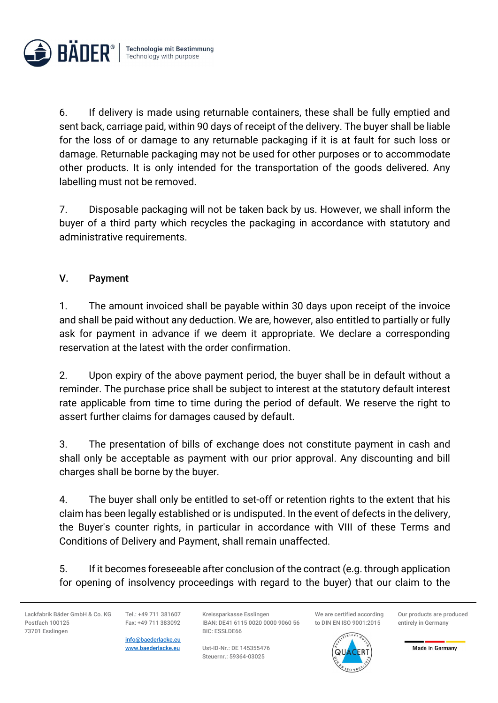

6. If delivery is made using returnable containers, these shall be fully emptied and sent back, carriage paid, within 90 days of receipt of the delivery. The buyer shall be liable for the loss of or damage to any returnable packaging if it is at fault for such loss or damage. Returnable packaging may not be used for other purposes or to accommodate other products. It is only intended for the transportation of the goods delivered. Any labelling must not be removed.

7. Disposable packaging will not be taken back by us. However, we shall inform the buyer of a third party which recycles the packaging in accordance with statutory and administrative requirements.

# V. Payment

1. The amount invoiced shall be payable within 30 days upon receipt of the invoice and shall be paid without any deduction. We are, however, also entitled to partially or fully ask for payment in advance if we deem it appropriate. We declare a corresponding reservation at the latest with the order confirmation.

2. Upon expiry of the above payment period, the buyer shall be in default without a reminder. The purchase price shall be subject to interest at the statutory default interest rate applicable from time to time during the period of default. We reserve the right to assert further claims for damages caused by default.

3. The presentation of bills of exchange does not constitute payment in cash and shall only be acceptable as payment with our prior approval. Any discounting and bill charges shall be borne by the buyer.

4. The buyer shall only be entitled to set-off or retention rights to the extent that his claim has been legally established or is undisputed. In the event of defects in the delivery, the Buyer's counter rights, in particular in accordance with VIII of these Terms and Conditions of Delivery and Payment, shall remain unaffected.

5. If it becomes foreseeable after conclusion of the contract (e.g. through application for opening of insolvency proceedings with regard to the buyer) that our claim to the

Lackfabrik Bäder GmbH & Co. KG Postfach 100125 73701 Esslingen

Tel.: +49 711 381607 Fax: +49 711 383092

info@baederlacke.eu www.baederlacke.eu

Kreissparkasse Esslingen IBAN: DE41 6115 0020 0000 9060 56 BIC: ESSLDE66

Ust-ID-Nr.: DE 145355476 Steuernr.: 59364-03025

We are certified according to DIN EN ISO 9001:2015

Our products are produced entirely in Germany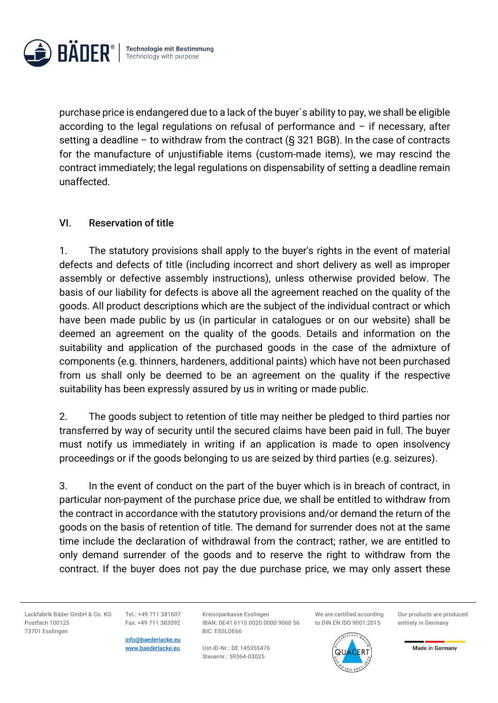

purchase price is endangered due to a lack of the buyer`s ability to pay, we shall be eligible according to the legal regulations on refusal of performance and  $-$  if necessary, after setting a deadline – to withdraw from the contract  $(S$  321 BGB). In the case of contracts for the manufacture of unjustifiable items (custom-made items), we may rescind the contract immediately; the legal regulations on dispensability of setting a deadline remain unaffected.

### VI. Reservation of title

1. The statutory provisions shall apply to the buyer's rights in the event of material defects and defects of title (including incorrect and short delivery as well as improper assembly or defective assembly instructions), unless otherwise provided below. The basis of our liability for defects is above all the agreement reached on the quality of the goods. All product descriptions which are the subject of the individual contract or which have been made public by us (in particular in catalogues or on our website) shall be deemed an agreement on the quality of the goods. Details and information on the suitability and application of the purchased goods in the case of the admixture of components (e.g. thinners, hardeners, additional paints) which have not been purchased from us shall only be deemed to be an agreement on the quality if the respective suitability has been expressly assured by us in writing or made public.

2. The goods subject to retention of title may neither be pledged to third parties nor transferred by way of security until the secured claims have been paid in full. The buyer must notify us immediately in writing if an application is made to open insolvency proceedings or if the goods belonging to us are seized by third parties (e.g. seizures).

3. In the event of conduct on the part of the buyer which is in breach of contract, in particular non-payment of the purchase price due, we shall be entitled to withdraw from the contract in accordance with the statutory provisions and/or demand the return of the goods on the basis of retention of title. The demand for surrender does not at the same time include the declaration of withdrawal from the contract; rather, we are entitled to only demand surrender of the goods and to reserve the right to withdraw from the contract. If the buyer does not pay the due purchase price, we may only assert these

Lackfabrik Bäder GmbH & Co. KG Postfach 100125 73701 Esslingen

Tel.: +49 711 381607 Fax: +49 711 383092

info@baederlacke.eu www.baederlacke.eu

Kreissparkasse Esslingen IBAN: DE41 6115 0020 0000 9060 56 BIC: ESSLDE66

Ust-ID-Nr.: DE 145355476 Steuernr.: 59364-03025

We are certified according to DIN EN ISO 9001:2015



Our products are produced entirely in Germany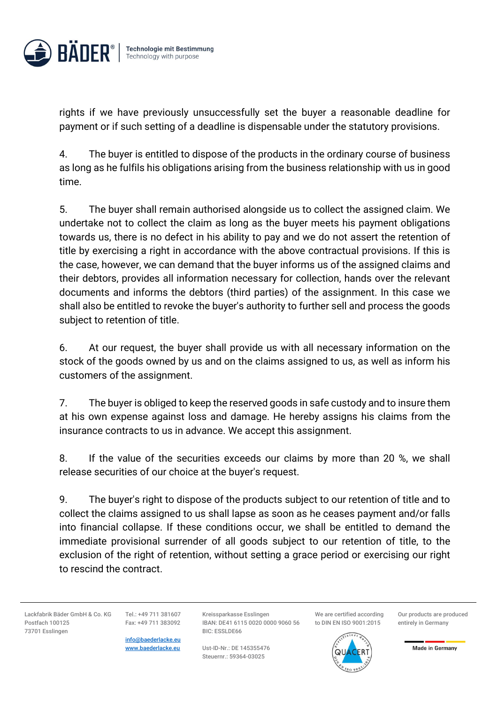

rights if we have previously unsuccessfully set the buyer a reasonable deadline for payment or if such setting of a deadline is dispensable under the statutory provisions.

4. The buyer is entitled to dispose of the products in the ordinary course of business as long as he fulfils his obligations arising from the business relationship with us in good time.

5. The buyer shall remain authorised alongside us to collect the assigned claim. We undertake not to collect the claim as long as the buyer meets his payment obligations towards us, there is no defect in his ability to pay and we do not assert the retention of title by exercising a right in accordance with the above contractual provisions. If this is the case, however, we can demand that the buyer informs us of the assigned claims and their debtors, provides all information necessary for collection, hands over the relevant documents and informs the debtors (third parties) of the assignment. In this case we shall also be entitled to revoke the buyer's authority to further sell and process the goods subject to retention of title.

6. At our request, the buyer shall provide us with all necessary information on the stock of the goods owned by us and on the claims assigned to us, as well as inform his customers of the assignment.

7. The buyer is obliged to keep the reserved goods in safe custody and to insure them at his own expense against loss and damage. He hereby assigns his claims from the insurance contracts to us in advance. We accept this assignment.

8. If the value of the securities exceeds our claims by more than 20 %, we shall release securities of our choice at the buyer's request.

9. The buyer's right to dispose of the products subject to our retention of title and to collect the claims assigned to us shall lapse as soon as he ceases payment and/or falls into financial collapse. If these conditions occur, we shall be entitled to demand the immediate provisional surrender of all goods subject to our retention of title, to the exclusion of the right of retention, without setting a grace period or exercising our right to rescind the contract.

Lackfabrik Bäder GmbH & Co. KG Postfach 100125 73701 Esslingen

Tel.: +49 711 381607 Fax: +49 711 383092

info@baederlacke.eu www.baederlacke.eu

Kreissparkasse Esslingen IBAN: DE41 6115 0020 0000 9060 56 BIC: ESSLDE66

Ust-ID-Nr.: DE 145355476 Steuernr.: 59364-03025

We are certified according to DIN EN ISO 9001:2015

Our products are produced entirely in Germany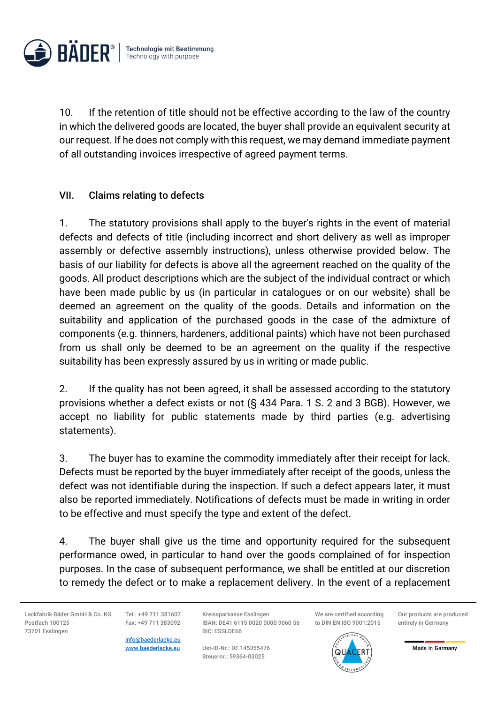

10. If the retention of title should not be effective according to the law of the country in which the delivered goods are located, the buyer shall provide an equivalent security at our request. If he does not comply with this request, we may demand immediate payment of all outstanding invoices irrespective of agreed payment terms.

# VII. Claims relating to defects

1. The statutory provisions shall apply to the buyer's rights in the event of material defects and defects of title (including incorrect and short delivery as well as improper assembly or defective assembly instructions), unless otherwise provided below. The basis of our liability for defects is above all the agreement reached on the quality of the goods. All product descriptions which are the subject of the individual contract or which have been made public by us (in particular in catalogues or on our website) shall be deemed an agreement on the quality of the goods. Details and information on the suitability and application of the purchased goods in the case of the admixture of components (e.g. thinners, hardeners, additional paints) which have not been purchased from us shall only be deemed to be an agreement on the quality if the respective suitability has been expressly assured by us in writing or made public.

2. If the quality has not been agreed, it shall be assessed according to the statutory provisions whether a defect exists or not (§ 434 Para. 1 S. 2 and 3 BGB). However, we accept no liability for public statements made by third parties (e.g. advertising statements).

3. The buyer has to examine the commodity immediately after their receipt for lack. Defects must be reported by the buyer immediately after receipt of the goods, unless the defect was not identifiable during the inspection. If such a defect appears later, it must also be reported immediately. Notifications of defects must be made in writing in order to be effective and must specify the type and extent of the defect.

4. The buyer shall give us the time and opportunity required for the subsequent performance owed, in particular to hand over the goods complained of for inspection purposes. In the case of subsequent performance, we shall be entitled at our discretion to remedy the defect or to make a replacement delivery. In the event of a replacement

Lackfabrik Bäder GmbH & Co. KG Postfach 100125 73701 Esslingen

Tel.: +49 711 381607 Fax: +49 711 383092

info@baederlacke.eu www.baederlacke.eu

Kreissparkasse Esslingen IBAN: DE41 6115 0020 0000 9060 56 BIC: ESSLDE66

Ust-ID-Nr.: DE 145355476 Steuernr.: 59364-03025

We are certified according to DIN EN ISO 9001:2015



Our products are produced entirely in Germany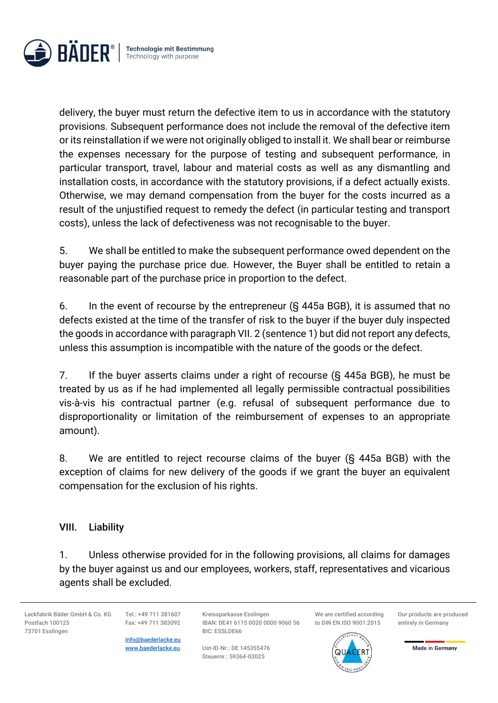

delivery, the buyer must return the defective item to us in accordance with the statutory provisions. Subsequent performance does not include the removal of the defective item or its reinstallation if we were not originally obliged to install it. We shall bear or reimburse the expenses necessary for the purpose of testing and subsequent performance, in particular transport, travel, labour and material costs as well as any dismantling and installation costs, in accordance with the statutory provisions, if a defect actually exists. Otherwise, we may demand compensation from the buyer for the costs incurred as a result of the unjustified request to remedy the defect (in particular testing and transport costs), unless the lack of defectiveness was not recognisable to the buyer.

5. We shall be entitled to make the subsequent performance owed dependent on the buyer paying the purchase price due. However, the Buyer shall be entitled to retain a reasonable part of the purchase price in proportion to the defect.

6. In the event of recourse by the entrepreneur (§ 445a BGB), it is assumed that no defects existed at the time of the transfer of risk to the buyer if the buyer duly inspected the goods in accordance with paragraph VII. 2 (sentence 1) but did not report any defects, unless this assumption is incompatible with the nature of the goods or the defect.

7. If the buyer asserts claims under a right of recourse (§ 445a BGB), he must be treated by us as if he had implemented all legally permissible contractual possibilities vis-à-vis his contractual partner (e.g. refusal of subsequent performance due to disproportionality or limitation of the reimbursement of expenses to an appropriate amount).

8. We are entitled to reject recourse claims of the buyer (§ 445a BGB) with the exception of claims for new delivery of the goods if we grant the buyer an equivalent compensation for the exclusion of his rights.

### VIII. Liability

1. Unless otherwise provided for in the following provisions, all claims for damages by the buyer against us and our employees, workers, staff, representatives and vicarious agents shall be excluded.

Lackfabrik Bäder GmbH & Co. KG Postfach 100125 73701 Esslingen

Tel.: +49 711 381607 Fax: +49 711 383092

info@baederlacke.eu www.baederlacke.eu

Kreissparkasse Esslingen IBAN: DE41 6115 0020 0000 9060 56 BIC: ESSLDE66

Ust-ID-Nr.: DE 145355476 Steuernr.: 59364-03025

We are certified according to DIN EN ISO 9001:2015



Our products are produced entirely in Germany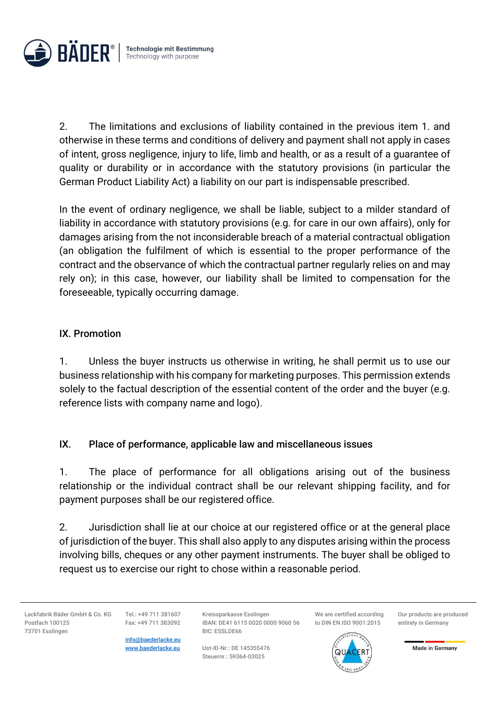

2. The limitations and exclusions of liability contained in the previous item 1. and otherwise in these terms and conditions of delivery and payment shall not apply in cases of intent, gross negligence, injury to life, limb and health, or as a result of a guarantee of quality or durability or in accordance with the statutory provisions (in particular the German Product Liability Act) a liability on our part is indispensable prescribed.

In the event of ordinary negligence, we shall be liable, subject to a milder standard of liability in accordance with statutory provisions (e.g. for care in our own affairs), only for damages arising from the not inconsiderable breach of a material contractual obligation (an obligation the fulfilment of which is essential to the proper performance of the contract and the observance of which the contractual partner regularly relies on and may rely on); in this case, however, our liability shall be limited to compensation for the foreseeable, typically occurring damage.

### IX. Promotion

1. Unless the buyer instructs us otherwise in writing, he shall permit us to use our business relationship with his company for marketing purposes. This permission extends solely to the factual description of the essential content of the order and the buyer (e.g. reference lists with company name and logo).

### IX. Place of performance, applicable law and miscellaneous issues

1. The place of performance for all obligations arising out of the business relationship or the individual contract shall be our relevant shipping facility, and for payment purposes shall be our registered office.

2. Jurisdiction shall lie at our choice at our registered office or at the general place of jurisdiction of the buyer. This shall also apply to any disputes arising within the process involving bills, cheques or any other payment instruments. The buyer shall be obliged to request us to exercise our right to chose within a reasonable period.

Lackfabrik Bäder GmbH & Co. KG Postfach 100125 73701 Esslingen

Tel.: +49 711 381607 Fax: +49 711 383092

info@baederlacke.eu www.baederlacke.eu

Kreissparkasse Esslingen IBAN: DE41 6115 0020 0000 9060 56 BIC: ESSLDE66

Ust-ID-Nr.: DE 145355476 Steuernr.: 59364-03025

We are certified according to DIN EN ISO 9001:2015

Our products are produced entirely in Germany